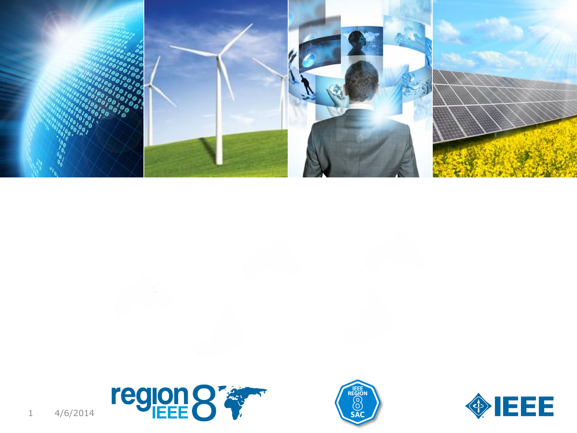





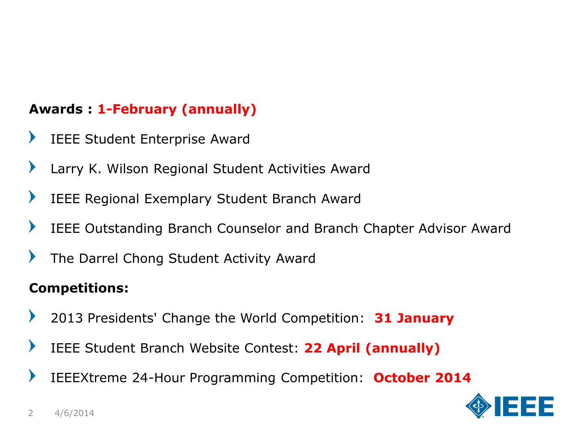## **Awards : 1-February (annually)**

- $\blacktriangleright$ IEEE Student Enterprise Award
- $\blacktriangleright$ Larry K. Wilson Regional Student Activities Award
- $\blacktriangleright$ IEEE Regional Exemplary Student Branch Award
- $\blacktriangleright$ IEEE Outstanding Branch Counselor and Branch Chapter Advisor Award
- $\blacktriangleright$ The Darrel Chong Student Activity Award

## **Competitions:**

- $\blacktriangleright$ 2013 Presidents' Change the World Competition: **31 January**
- $\blacktriangleright$ IEEE Student Branch Website Contest: **22 April (annually)**
- $\blacktriangleright$ IEEEXtreme 24-Hour Programming Competition: **October 2014**

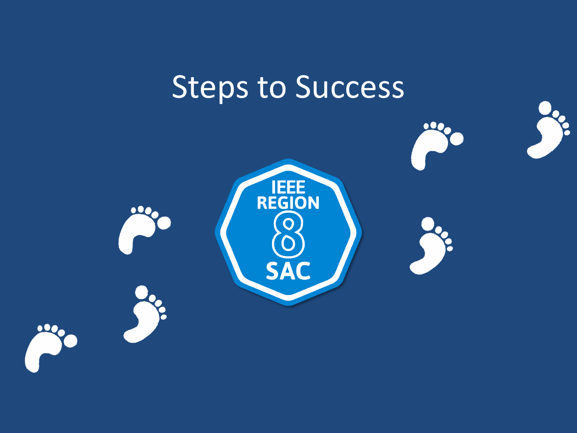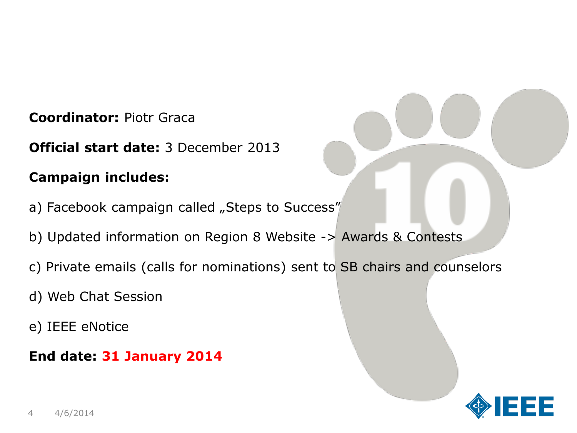**Coordinator:** Piotr Graca

**Official start date:** 3 December 2013

### **Campaign includes:**

- a) Facebook campaign called "Steps to Success"
- b) Updated information on Region 8 Website -> Awards & Contests
- c) Private emails (calls for nominations) sent to SB chairs and counselors
- d) Web Chat Session
- e) IEEE eNotice
- **End date: 31 January 2014**

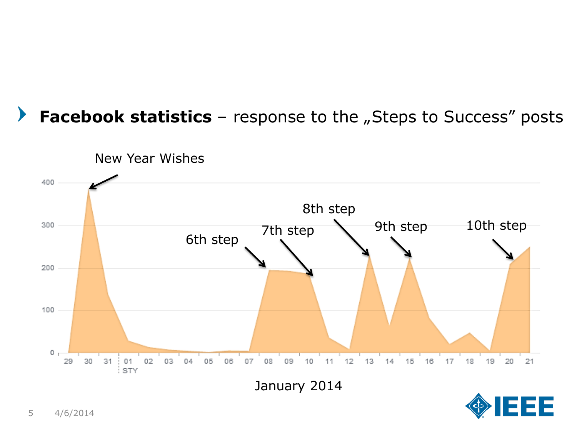# **Facebook statistics** – response to the "Steps to Success" posts



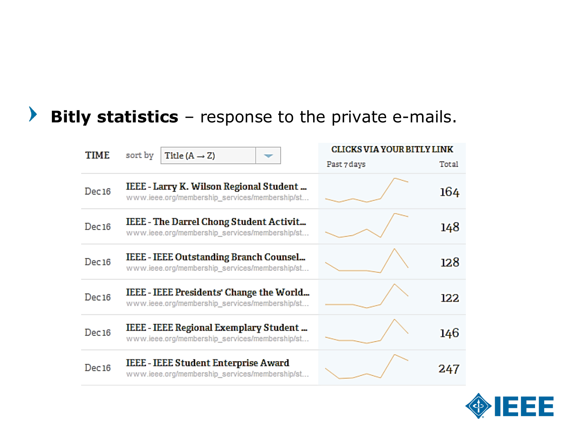#### $\blacktriangleright$ **Bitly statistics** – response to the private e-mails.

| TIME  | sort by<br>Title $(A \rightarrow Z)$                                                             | <b>CLICKS VIA YOUR BITLY LINK</b> |
|-------|--------------------------------------------------------------------------------------------------|-----------------------------------|
|       |                                                                                                  | Past 7 days<br>Total              |
| Dec16 | IEEE - Larry K. Wilson Regional Student<br>www.ieee.org/membership_services/membership/st        | 164                               |
| Dec16 | <b>IEEE</b> - The Darrel Chong Student Activit<br>www.ieee.org/membership_services/membership/st | 148                               |
| Dec16 | IEEE - IEEE Outstanding Branch Counsel<br>www.ieee.org/membership_services/membership/st         | 128                               |
| Dec16 | IEEE - IEEE Presidents' Change the World<br>www.ieee.org/membership_services/membership/st       | 122                               |
| Dec16 | IEEE - IEEE Regional Exemplary Student<br>www.ieee.org/membership_services/membership/st         | 146                               |
| Dec16 | <b>IEEE - IEEE Student Enterprise Award</b><br>www.ieee.org/membership_services/membership/st    | 247                               |

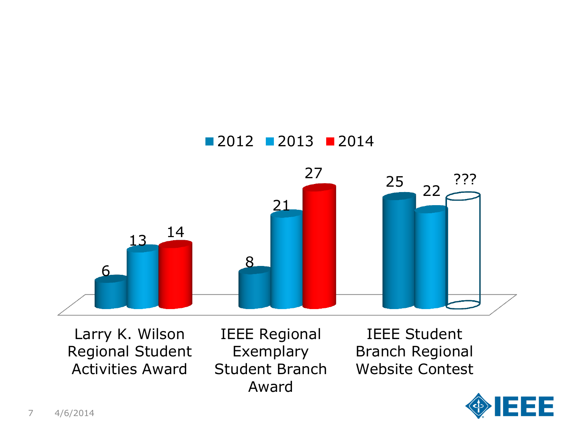

Larry K. Wilson Regional Student Activities Award

IEEE Regional Exemplary Student Branch Award

IEEE Student Branch Regional Website Contest

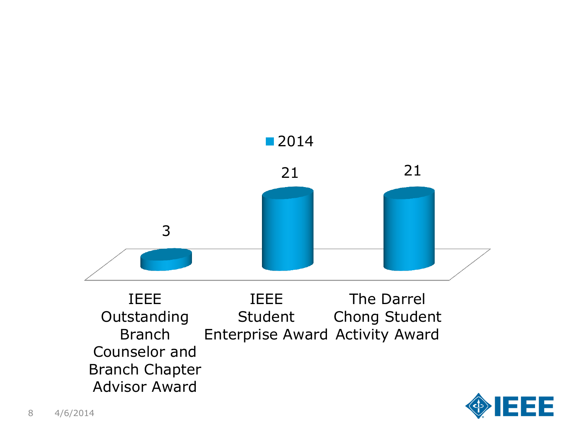

IEEE **Outstanding** Branch Counselor and Branch Chapter Advisor Award IEEE Student Enterprise Award Activity Award The Darrel Chong Student

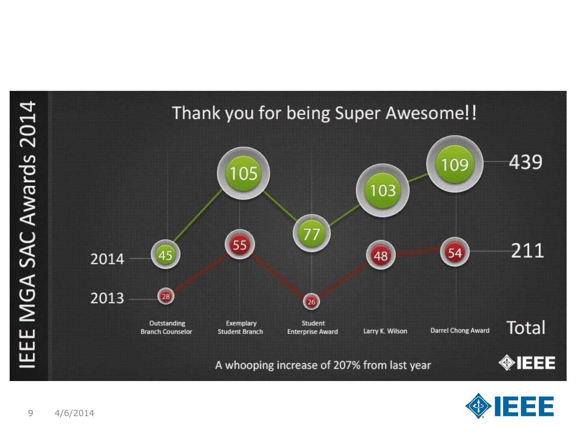

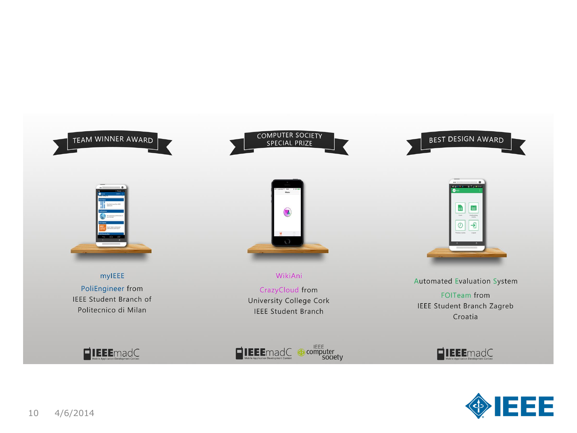







mylEEE PoliEngineer from **IEEE Student Branch of** Politecnico di Milan



WikiAni CrazyCloud from University College Cork **IEEE Student Branch** 



**Automated Evaluation System FOITeam from IEEE Student Branch Zagreb** Croatia